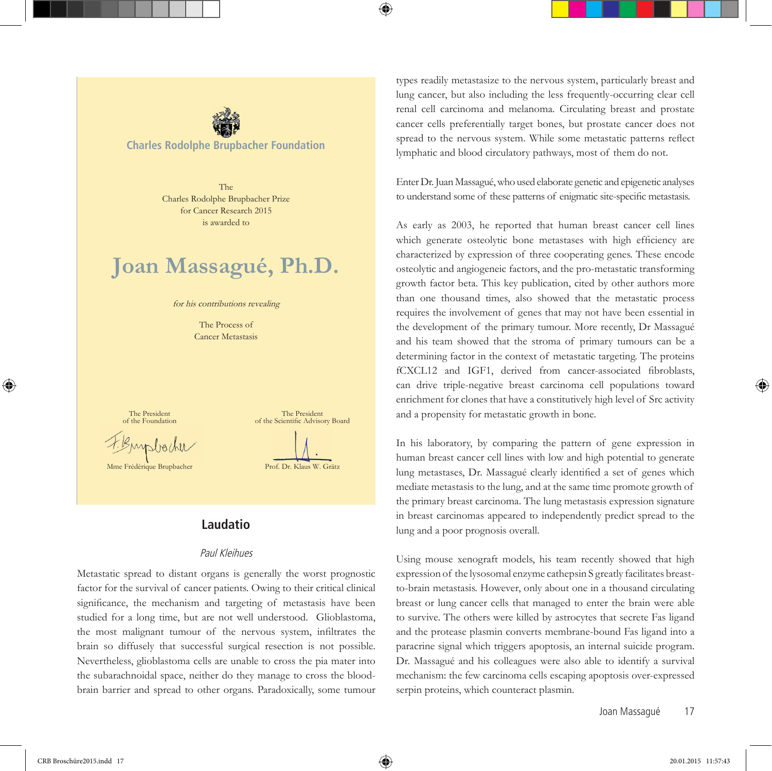

**Charles Rodolphe Brupbacher Foundation**

The Charles Rodolphe Brupbacher Prize for Cancer Research 2015 is awarded to

# **Joan Massagué, Ph.D.**

for his contributions revealing

The Process of Cancer Metastasis

The President of the Foundation

myslighte

Mme Frédérique Brupbacher

The President of the Scientific Advisory Board Prof. Dr. Klaus W. Grätz

# **Laudatio**

#### Paul Kleihues

Metastatic spread to distant organs is generally the worst prognostic factor for the survival of cancer patients. Owing to their critical clinical significance, the mechanism and targeting of metastasis have been studied for a long time, but are not well understood. Glioblastoma, the most malignant tumour of the nervous system, infiltrates the brain so diffusely that successful surgical resection is not possible. Nevertheless, glioblastoma cells are unable to cross the pia mater into the subarachnoidal space, neither do they manage to cross the bloodbrain barrier and spread to other organs. Paradoxically, some tumour types readily metastasize to the nervous system, particularly breast and lung cancer, but also including the less frequently-occurring clear cell renal cell carcinoma and melanoma. Circulating breast and prostate cancer cells preferentially target bones, but prostate cancer does not spread to the nervous system. While some metastatic patterns reflect lymphatic and blood circulatory pathways, most of them do not.

Enter Dr. Juan Massagué, who used elaborate genetic and epigenetic analyses to understand some of these patterns of enigmatic site-specific metastasis.

As early as 2003, he reported that human breast cancer cell lines which generate osteolytic bone metastases with high efficiency are characterized by expression of three cooperating genes. These encode osteolytic and angiogeneic factors, and the pro-metastatic transforming growth factor beta. This key publication, cited by other authors more than one thousand times, also showed that the metastatic process requires the involvement of genes that may not have been essential in the development of the primary tumour. More recently, Dr Massagué and his team showed that the stroma of primary tumours can be a determining factor in the context of metastatic targeting. The proteins fCXCL12 and IGF1, derived from cancer-associated fibroblasts, can drive triple-negative breast carcinoma cell populations toward enrichment for clones that have a constitutively high level of Src activity and a propensity for metastatic growth in bone.

In his laboratory, by comparing the pattern of gene expression in human breast cancer cell lines with low and high potential to generate lung metastases, Dr. Massagué clearly identified a set of genes which mediate metastasis to the lung, and at the same time promote growth of the primary breast carcinoma. The lung metastasis expression signature in breast carcinomas appeared to independently predict spread to the lung and a poor prognosis overall.

Using mouse xenograft models, his team recently showed that high expression of the lysosomal enzyme cathepsin S greatly facilitates breastto-brain metastasis. However, only about one in a thousand circulating breast or lung cancer cells that managed to enter the brain were able to survive. The others were killed by astrocytes that secrete Fas ligand and the protease plasmin converts membrane-bound Fas ligand into a paracrine signal which triggers apoptosis, an internal suicide program. Dr. Massagué and his colleagues were also able to identify a survival mechanism: the few carcinoma cells escaping apoptosis over-expressed serpin proteins, which counteract plasmin.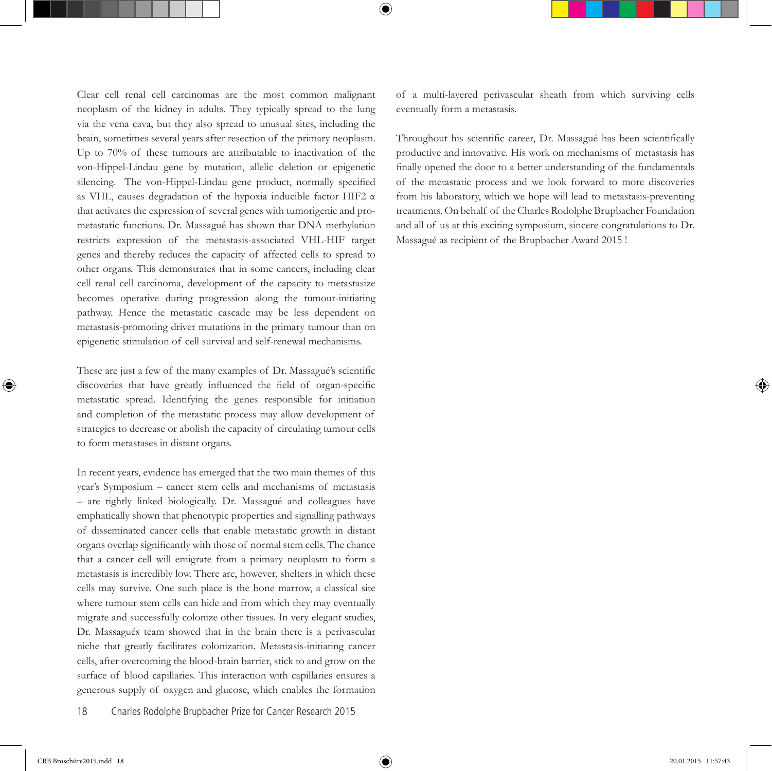Clear cell renal cell carcinomas are the most common malignant neoplasm of the kidney in adults. They typically spread to the lung via the vena cava, but they also spread to unusual sites, including the brain, sometimes several years after resection of the primary neoplasm. Up to 70% of these tumours are attributable to inactivation of the von-Hippel-Lindau gene by mutation, allelic deletion or epigenetic silencing. The von-Hippel-Lindau gene product, normally specified as VHL, causes degradation of the hypoxia inducible factor HIF2 α that activates the expression of several genes with tumorigenic and prometastatic functions. Dr. Massagué has shown that DNA methylation restricts expression of the metastasis-associated VHL-HIF target genes and thereby reduces the capacity of affected cells to spread to other organs. This demonstrates that in some cancers, including clear cell renal cell carcinoma, development of the capacity to metastasize becomes operative during progression along the tumour-initiating pathway. Hence the metastatic cascade may be less dependent on metastasis-promoting driver mutations in the primary tumour than on epigenetic stimulation of cell survival and self-renewal mechanisms.

These are just a few of the many examples of Dr. Massagué's scientific discoveries that have greatly influenced the field of organ-specific metastatic spread. Identifying the genes responsible for initiation and completion of the metastatic process may allow development of strategies to decrease or abolish the capacity of circulating tumour cells to form metastases in distant organs.

In recent years, evidence has emerged that the two main themes of this year's Symposium – cancer stem cells and mechanisms of metastasis – are tightly linked biologically. Dr. Massagué and colleagues have emphatically shown that phenotypic properties and signalling pathways of disseminated cancer cells that enable metastatic growth in distant organs overlap significantly with those of normal stem cells. The chance that a cancer cell will emigrate from a primary neoplasm to form a metastasis is incredibly low. There are, however, shelters in which these cells may survive. One such place is the bone marrow, a classical site where tumour stem cells can hide and from which they may eventually migrate and successfully colonize other tissues. In very elegant studies, Dr. Massagués team showed that in the brain there is a perivascular niche that greatly facilitates colonization. Metastasis-initiating cancer cells, after overcoming the blood-brain barrier, stick to and grow on the surface of blood capillaries. This interaction with capillaries ensures a generous supply of oxygen and glucose, which enables the formation

Throughout his scientific career, Dr. Massagué has been scientifically productive and innovative. His work on mechanisms of metastasis has finally opened the door to a better understanding of the fundamentals of the metastatic process and we look forward to more discoveries from his laboratory, which we hope will lead to metastasis-preventing treatments. On behalf of the Charles Rodolphe Brupbacher Foundation and all of us at this exciting symposium, sincere congratulations to Dr. Massagué as recipient of the Brupbacher Award 2015 !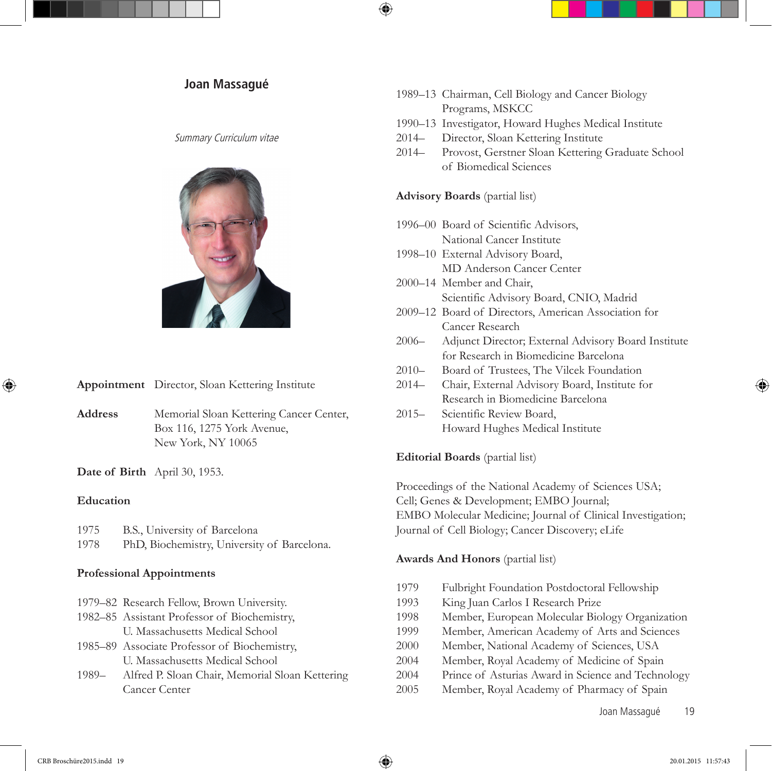#### Summary Curriculum vitae



**Appointment** Director, Sloan Kettering Institute

**Address** Memorial Sloan Kettering Cancer Center, Box 116, 1275 York Avenue, New York, NY 10065

**Date of Birth** April 30, 1953.

#### **Education**

| 1975 |  | B.S., University of Barcelona |  |  |
|------|--|-------------------------------|--|--|
|------|--|-------------------------------|--|--|

1978 PhD, Biochemistry, University of Barcelona.

#### **Professional Appointments**

| 1979–82 Research Fellow, Brown University.   |
|----------------------------------------------|
| 1982-85 Assistant Professor of Biochemistry, |

- U. Massachusetts Medical School
- 1985–89 Associate Professor of Biochemistry, U. Massachusetts Medical School
- 1989– Alfred P. Sloan Chair, Memorial Sloan Kettering Cancer Center
- **Joan Massagué** 1989–13 Chairman, Cell Biology and Cancer Biology and Cancer Biology Programs, MSKCC
	- 1990–13 Investigator, Howard Hughes Medical Institute
	- 2014– Director, Sloan Kettering Institute
	- 2014– Provost, Gerstner Sloan Kettering Graduate School of Biomedical Sciences

# **Advisory Boards** (partial list)

- 1996–00 Board of Scientific Advisors, National Cancer Institute
- 1998–10 External Advisory Board, MD Anderson Cancer Center
- 2000–14 Member and Chair, Scientific Advisory Board, CNIO, Madrid
- 2009–12 Board of Directors, American Association for Cancer Research
- 2006– Adjunct Director; External Advisory Board Institute for Research in Biomedicine Barcelona
- 2010– Board of Trustees, The Vilcek Foundation
- 2014– Chair, External Advisory Board, Institute for Research in Biomedicine Barcelona
- 2015– Scientific Review Board, Howard Hughes Medical Institute

# **Editorial Boards** (partial list)

Proceedings of the National Academy of Sciences USA; Cell; Genes & Development; EMBO Journal; EMBO Molecular Medicine; Journal of Clinical Investigation; Journal of Cell Biology; Cancer Discovery; eLife

# **Awards And Honors** (partial list)

- 1979 Fulbright Foundation Postdoctoral Fellowship
- 1993 King Juan Carlos I Research Prize
- 1998 Member, European Molecular Biology Organization
- 1999 Member, American Academy of Arts and Sciences
- 2000 Member, National Academy of Sciences, USA
- 2004 Member, Royal Academy of Medicine of Spain
- 2004 Prince of Asturias Award in Science and Technology
- 2005 Member, Royal Academy of Pharmacy of Spain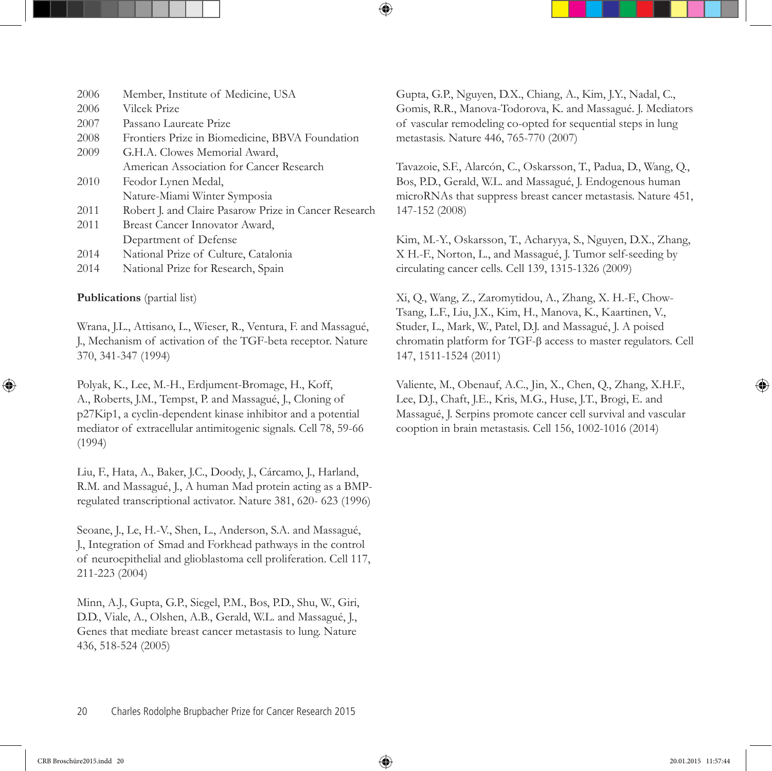| 2006 | Member, Institute of Medicine, USA                    |
|------|-------------------------------------------------------|
| 2006 | Vilcek Prize                                          |
| 2007 | Passano Laureate Prize                                |
| 2008 | Frontiers Prize in Biomedicine, BBVA Foundation       |
| 2009 | G.H.A. Clowes Memorial Award,                         |
|      | American Association for Cancer Research              |
| 2010 | Feodor Lynen Medal,                                   |
|      | Nature-Miami Winter Symposia                          |
| 2011 | Robert J. and Claire Pasarow Prize in Cancer Research |
| 2011 | Breast Cancer Innovator Award,                        |
|      | Department of Defense                                 |
| 2014 | National Prize of Culture, Catalonia                  |
| 2014 | National Prize for Research, Spain                    |

# **Publications** (partial list)

Wrana, J.L., Attisano, L., Wieser, R., Ventura, F. and Massagué, J., Mechanism of activation of the TGF-beta receptor. Nature 370, 341-347 (1994)

Polyak, K., Lee, M.-H., Erdjument-Bromage, H., Koff, A., Roberts, J.M., Tempst, P. and Massagué, J., Cloning of p27Kip1, a cyclin-dependent kinase inhibitor and a potential mediator of extracellular antimitogenic signals. Cell 78, 59-66 (1994)

Liu, F., Hata, A., Baker, J.C., Doody, J., Cárcamo, J., Harland, R.M. and Massagué, J., A human Mad protein acting as a BMPregulated transcriptional activator. Nature 381, 620- 623 (1996)

Seoane, J., Le, H.-V., Shen, L., Anderson, S.A. and Massagué, J., Integration of Smad and Forkhead pathways in the control of neuroepithelial and glioblastoma cell proliferation. Cell 117, 211-223 (2004)

Minn, A.J., Gupta, G.P., Siegel, P.M., Bos, P.D., Shu, W., Giri, D.D., Viale, A., Olshen, A.B., Gerald, W.L. and Massagué, J., Genes that mediate breast cancer metastasis to lung. Nature 436, 518-524 (2005)

Gupta, G.P., Nguyen, D.X., Chiang, A., Kim, J.Y., Nadal, C., Gomis, R.R., Manova-Todorova, K. and Massagué. J. Mediators of vascular remodeling co-opted for sequential steps in lung metastasis. Nature 446, 765-770 (2007)

Tavazoie, S.F., Alarcón, C., Oskarsson, T., Padua, D., Wang, Q., Bos, P.D., Gerald, W.L. and Massagué, J. Endogenous human microRNAs that suppress breast cancer metastasis. Nature 451, 147-152 (2008)

Kim, M.-Y., Oskarsson, T., Acharyya, S., Nguyen, D.X., Zhang, X H.-F., Norton, L., and Massagué, J. Tumor self-seeding by circulating cancer cells. Cell 139, 1315-1326 (2009)

Xi, Q., Wang, Z., Zaromytidou, A., Zhang, X. H.-F., Chow-Tsang, L.F., Liu, J.X., Kim, H., Manova, K., Kaartinen, V., Studer, L., Mark, W., Patel, D.J. and Massagué, J. A poised chromatin platform for TGF-b access to master regulators. Cell 147, 1511-1524 (2011)

Valiente, M., Obenauf, A.C., Jin, X., Chen, Q., Zhang, X.H.F., Lee, D.J., Chaft, J.E., Kris, M.G., Huse, J.T., Brogi, E. and Massagué, J. Serpins promote cancer cell survival and vascular cooption in brain metastasis. Cell 156, 1002-1016 (2014)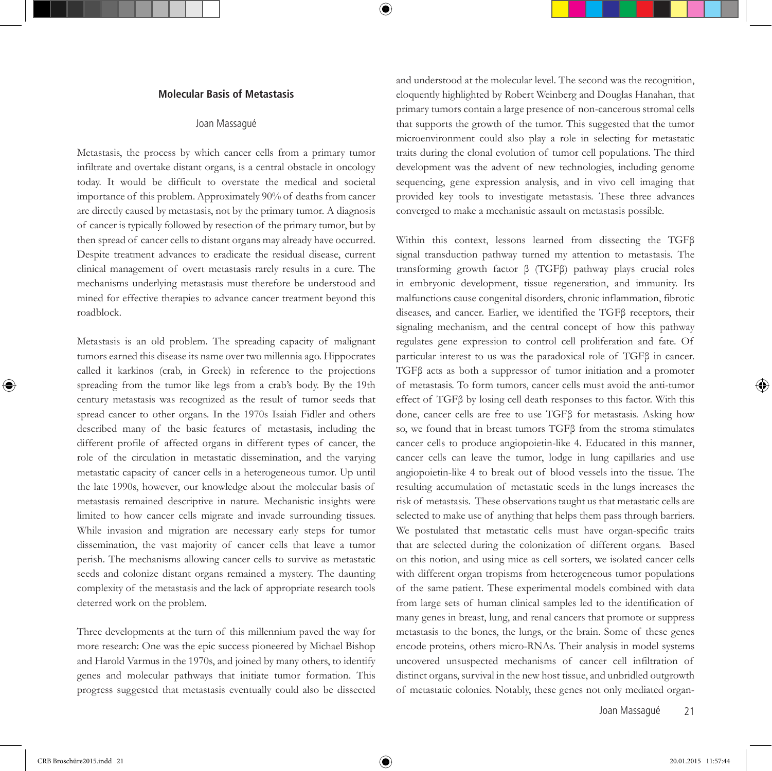#### **Molecular Basis of Metastasis**

#### Joan Massagué

Metastasis, the process by which cancer cells from a primary tumor infiltrate and overtake distant organs, is a central obstacle in oncology today. It would be difficult to overstate the medical and societal importance of this problem. Approximately 90% of deaths from cancer are directly caused by metastasis, not by the primary tumor. A diagnosis of cancer is typically followed by resection of the primary tumor, but by then spread of cancer cells to distant organs may already have occurred. Despite treatment advances to eradicate the residual disease, current clinical management of overt metastasis rarely results in a cure. The mechanisms underlying metastasis must therefore be understood and mined for effective therapies to advance cancer treatment beyond this roadblock.

Metastasis is an old problem. The spreading capacity of malignant tumors earned this disease its name over two millennia ago. Hippocrates called it karkinos (crab, in Greek) in reference to the projections spreading from the tumor like legs from a crab's body. By the 19th century metastasis was recognized as the result of tumor seeds that spread cancer to other organs. In the 1970s Isaiah Fidler and others described many of the basic features of metastasis, including the different profile of affected organs in different types of cancer, the role of the circulation in metastatic dissemination, and the varying metastatic capacity of cancer cells in a heterogeneous tumor. Up until the late 1990s, however, our knowledge about the molecular basis of metastasis remained descriptive in nature. Mechanistic insights were limited to how cancer cells migrate and invade surrounding tissues. While invasion and migration are necessary early steps for tumor dissemination, the vast majority of cancer cells that leave a tumor perish. The mechanisms allowing cancer cells to survive as metastatic seeds and colonize distant organs remained a mystery. The daunting complexity of the metastasis and the lack of appropriate research tools deterred work on the problem.

Three developments at the turn of this millennium paved the way for more research: One was the epic success pioneered by Michael Bishop and Harold Varmus in the 1970s, and joined by many others, to identify genes and molecular pathways that initiate tumor formation. This progress suggested that metastasis eventually could also be dissected

and understood at the molecular level. The second was the recognition, eloquently highlighted by Robert Weinberg and Douglas Hanahan, that primary tumors contain a large presence of non-cancerous stromal cells that supports the growth of the tumor. This suggested that the tumor microenvironment could also play a role in selecting for metastatic traits during the clonal evolution of tumor cell populations. The third development was the advent of new technologies, including genome sequencing, gene expression analysis, and in vivo cell imaging that provided key tools to investigate metastasis. These three advances converged to make a mechanistic assault on metastasis possible.

Within this context, lessons learned from dissecting the TGFβ signal transduction pathway turned my attention to metastasis. The transforming growth factor β (TGFβ) pathway plays crucial roles in embryonic development, tissue regeneration, and immunity. Its malfunctions cause congenital disorders, chronic inflammation, fibrotic diseases, and cancer. Earlier, we identified the TGFβ receptors, their signaling mechanism, and the central concept of how this pathway regulates gene expression to control cell proliferation and fate. Of particular interest to us was the paradoxical role of TGFβ in cancer. TGFβ acts as both a suppressor of tumor initiation and a promoter of metastasis. To form tumors, cancer cells must avoid the anti-tumor effect of TGFβ by losing cell death responses to this factor. With this done, cancer cells are free to use TGFβ for metastasis. Asking how so, we found that in breast tumors TGFβ from the stroma stimulates cancer cells to produce angiopoietin-like 4. Educated in this manner, cancer cells can leave the tumor, lodge in lung capillaries and use angiopoietin-like 4 to break out of blood vessels into the tissue. The resulting accumulation of metastatic seeds in the lungs increases the risk of metastasis. These observations taught us that metastatic cells are selected to make use of anything that helps them pass through barriers. We postulated that metastatic cells must have organ-specific traits that are selected during the colonization of different organs. Based on this notion, and using mice as cell sorters, we isolated cancer cells with different organ tropisms from heterogeneous tumor populations of the same patient. These experimental models combined with data from large sets of human clinical samples led to the identification of many genes in breast, lung, and renal cancers that promote or suppress metastasis to the bones, the lungs, or the brain. Some of these genes encode proteins, others micro-RNAs. Their analysis in model systems uncovered unsuspected mechanisms of cancer cell infiltration of distinct organs, survival in the new host tissue, and unbridled outgrowth of metastatic colonies. Notably, these genes not only mediated organ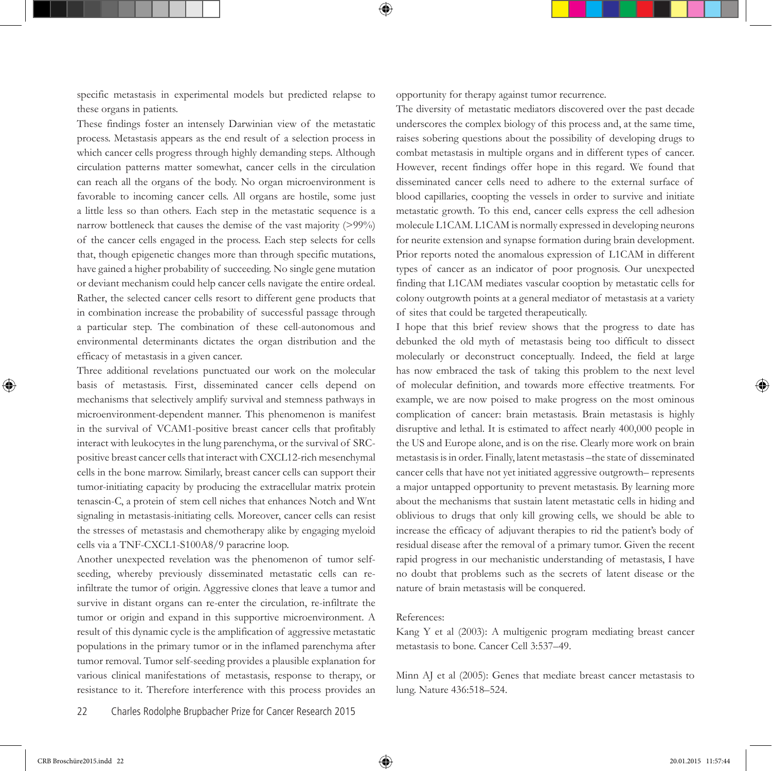specific metastasis in experimental models but predicted relapse to these organs in patients.

These findings foster an intensely Darwinian view of the metastatic process. Metastasis appears as the end result of a selection process in which cancer cells progress through highly demanding steps. Although circulation patterns matter somewhat, cancer cells in the circulation can reach all the organs of the body. No organ microenvironment is favorable to incoming cancer cells. All organs are hostile, some just a little less so than others. Each step in the metastatic sequence is a narrow bottleneck that causes the demise of the vast majority (>99%) of the cancer cells engaged in the process. Each step selects for cells that, though epigenetic changes more than through specific mutations, have gained a higher probability of succeeding. No single gene mutation or deviant mechanism could help cancer cells navigate the entire ordeal. Rather, the selected cancer cells resort to different gene products that in combination increase the probability of successful passage through a particular step. The combination of these cell-autonomous and environmental determinants dictates the organ distribution and the efficacy of metastasis in a given cancer.

Three additional revelations punctuated our work on the molecular basis of metastasis. First, disseminated cancer cells depend on mechanisms that selectively amplify survival and stemness pathways in microenvironment-dependent manner. This phenomenon is manifest in the survival of VCAM1-positive breast cancer cells that profitably interact with leukocytes in the lung parenchyma, or the survival of SRCpositive breast cancer cells that interact with CXCL12-rich mesenchymal cells in the bone marrow. Similarly, breast cancer cells can support their tumor-initiating capacity by producing the extracellular matrix protein tenascin-C, a protein of stem cell niches that enhances Notch and Wnt signaling in metastasis-initiating cells. Moreover, cancer cells can resist the stresses of metastasis and chemotherapy alike by engaging myeloid cells via a TNF-CXCL1-S100A8/9 paracrine loop.

Another unexpected revelation was the phenomenon of tumor selfseeding, whereby previously disseminated metastatic cells can reinfiltrate the tumor of origin. Aggressive clones that leave a tumor and survive in distant organs can re-enter the circulation, re-infiltrate the tumor or origin and expand in this supportive microenvironment. A result of this dynamic cycle is the amplification of aggressive metastatic populations in the primary tumor or in the inflamed parenchyma after tumor removal. Tumor self-seeding provides a plausible explanation for various clinical manifestations of metastasis, response to therapy, or resistance to it. Therefore interference with this process provides an opportunity for therapy against tumor recurrence.

The diversity of metastatic mediators discovered over the past decade underscores the complex biology of this process and, at the same time, raises sobering questions about the possibility of developing drugs to combat metastasis in multiple organs and in different types of cancer. However, recent findings offer hope in this regard. We found that disseminated cancer cells need to adhere to the external surface of blood capillaries, coopting the vessels in order to survive and initiate metastatic growth. To this end, cancer cells express the cell adhesion molecule L1CAM. L1CAM is normally expressed in developing neurons for neurite extension and synapse formation during brain development. Prior reports noted the anomalous expression of L1CAM in different types of cancer as an indicator of poor prognosis. Our unexpected finding that L1CAM mediates vascular cooption by metastatic cells for colony outgrowth points at a general mediator of metastasis at a variety of sites that could be targeted therapeutically.

I hope that this brief review shows that the progress to date has debunked the old myth of metastasis being too difficult to dissect molecularly or deconstruct conceptually. Indeed, the field at large has now embraced the task of taking this problem to the next level of molecular definition, and towards more effective treatments. For example, we are now poised to make progress on the most ominous complication of cancer: brain metastasis. Brain metastasis is highly disruptive and lethal. It is estimated to affect nearly 400,000 people in the US and Europe alone, and is on the rise. Clearly more work on brain metastasis is in order. Finally, latent metastasis –the state of disseminated cancer cells that have not yet initiated aggressive outgrowth– represents a major untapped opportunity to prevent metastasis. By learning more about the mechanisms that sustain latent metastatic cells in hiding and oblivious to drugs that only kill growing cells, we should be able to increase the efficacy of adjuvant therapies to rid the patient's body of residual disease after the removal of a primary tumor. Given the recent rapid progress in our mechanistic understanding of metastasis, I have no doubt that problems such as the secrets of latent disease or the nature of brain metastasis will be conquered.

#### References:

Kang Y et al (2003): A multigenic program mediating breast cancer metastasis to bone. Cancer Cell 3:537–49.

Minn AJ et al (2005): Genes that mediate breast cancer metastasis to lung. Nature 436:518–524.